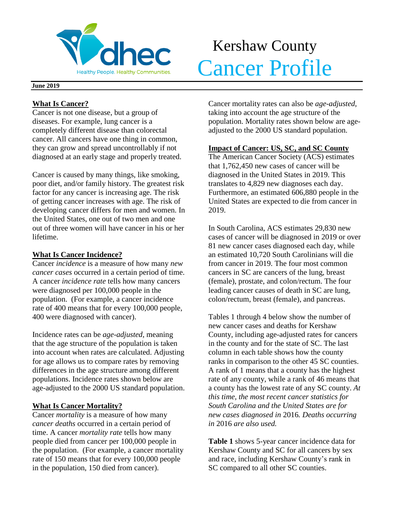

# Kershaw County Realthy People. Healthy Communities. Cancer Profile

#### **June 2019**

## **What Is Cancer?**

Cancer is not one disease, but a group of diseases. For example, lung cancer is a completely different disease than colorectal cancer. All cancers have one thing in common, they can grow and spread uncontrollably if not diagnosed at an early stage and properly treated.

Cancer is caused by many things, like smoking, poor diet, and/or family history. The greatest risk factor for any cancer is increasing age. The risk of getting cancer increases with age. The risk of developing cancer differs for men and women. In the United States, one out of two men and one out of three women will have cancer in his or her lifetime.

## **What Is Cancer Incidence?**

Cancer *incidence* is a measure of how many *new cancer cases* occurred in a certain period of time. A cancer *incidence rate* tells how many cancers were diagnosed per 100,000 people in the population. (For example, a cancer incidence rate of 400 means that for every 100,000 people, 400 were diagnosed with cancer).

Incidence rates can be *age-adjusted*, meaning that the age structure of the population is taken into account when rates are calculated. Adjusting for age allows us to compare rates by removing differences in the age structure among different populations. Incidence rates shown below are age-adjusted to the 2000 US standard population.

## **What Is Cancer Mortality?**

Cancer *mortality* is a measure of how many *cancer deaths* occurred in a certain period of time. A cancer *mortality rate* tells how many people died from cancer per 100,000 people in the population. (For example, a cancer mortality rate of 150 means that for every 100,000 people in the population, 150 died from cancer).

Cancer mortality rates can also be *age-adjusted*, taking into account the age structure of the population. Mortality rates shown below are ageadjusted to the 2000 US standard population.

## **Impact of Cancer: US, SC, and SC County**

The American Cancer Society (ACS) estimates that 1,762,450 new cases of cancer will be diagnosed in the United States in 2019. This translates to 4,829 new diagnoses each day. Furthermore, an estimated 606,880 people in the United States are expected to die from cancer in 2019.

In South Carolina, ACS estimates 29,830 new cases of cancer will be diagnosed in 2019 or over 81 new cancer cases diagnosed each day, while an estimated 10,720 South Carolinians will die from cancer in 2019. The four most common cancers in SC are cancers of the lung, breast (female), prostate, and colon/rectum. The four leading cancer causes of death in SC are lung, colon/rectum, breast (female), and pancreas.

Tables 1 through 4 below show the number of new cancer cases and deaths for Kershaw County, including age-adjusted rates for cancers in the county and for the state of SC. The last column in each table shows how the county ranks in comparison to the other 45 SC counties. A rank of 1 means that a county has the highest rate of any county, while a rank of 46 means that a county has the lowest rate of any SC county. *At this time, the most recent cancer statistics for South Carolina and the United States are for new cases diagnosed in* 2016*. Deaths occurring in* 2016 *are also used.*

**Table 1** shows 5-year cancer incidence data for Kershaw County and SC for all cancers by sex and race, including Kershaw County's rank in SC compared to all other SC counties.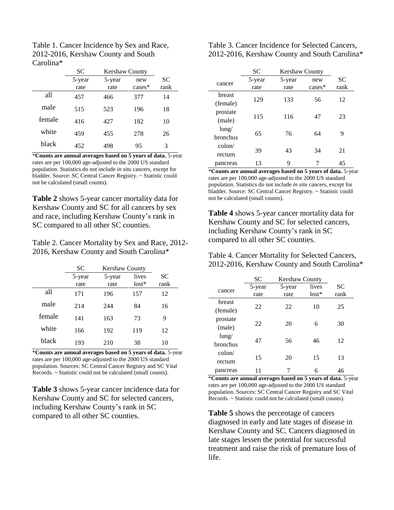| Table 1. Cancer Incidence by Sex and Race, |
|--------------------------------------------|
| 2012-2016, Kershaw County and South        |
| Carolina*                                  |

|        | SC.    | <b>Kershaw County</b> |          |           |
|--------|--------|-----------------------|----------|-----------|
|        | 5-year | 5-year                | new      | <b>SC</b> |
|        | rate   | rate                  | $cases*$ | rank      |
| all    | 457    | 466                   | 377      | 14        |
| male   | 515    | 523                   | 196      | 18        |
| female | 416    | 427                   | 182      | 10        |
| white  | 459    | 455                   | 278      | 26        |
| black  | 452    | 498                   | 95       | 3         |

\***Counts are annual averages based on 5 years of data.** 5-year rates are per 100,000 age-adjusted to the 2000 US standard population. Statistics do not include *in situ* cancers, except for bladder. Source: SC Central Cancer Registry. ~ Statistic could not be calculated (small counts).

**Table 2** shows 5-year cancer mortality data for Kershaw County and SC for all cancers by sex and race, including Kershaw County's rank in SC compared to all other SC counties.

Table 2. Cancer Mortality by Sex and Race, 2012- 2016, Kershaw County and South Carolina\*

|        | <b>SC</b>      | Kershaw County |                  |                   |
|--------|----------------|----------------|------------------|-------------------|
|        | 5-year<br>rate | 5-year<br>rate | lives<br>$lost*$ | <b>SC</b><br>rank |
| all    | 171            | 196            | 157              | 12                |
| male   | 214            | 244            | 84               | 16                |
| female | 141            | 163            | 73               | 9                 |
| white  | 166            | 192            | 119              | 12                |
| black  | 193            | 210            | 38               | 10                |

\***Counts are annual averages based on 5 years of data.** 5-year rates are per 100,000 age-adjusted to the 2000 US standard population. Sources: SC Central Cancer Registry and SC Vital Records. ~ Statistic could not be calculated (small counts).

**Table 3** shows 5-year cancer incidence data for Kershaw County and SC for selected cancers, including Kershaw County's rank in SC compared to all other SC counties.

Table 3. Cancer Incidence for Selected Cancers, 2012-2016, Kershaw County and South Carolina\*

|                 | <b>SC</b> | <b>Kershaw County</b> |          |           |
|-----------------|-----------|-----------------------|----------|-----------|
| cancer          | 5-year    | 5-year                | new      | <b>SC</b> |
|                 | rate      | rate                  | $cases*$ | rank      |
| breast          |           |                       |          |           |
| (female)        | 129       | 133                   | 56       | 12        |
| prostate        | 115       | 116                   | 47       | 23        |
| (male)          |           |                       |          |           |
| $l$ ung/        | 65        |                       |          |           |
| bronchus        |           | 76                    | 64       | 9         |
| $\text{colon}/$ |           |                       |          |           |
| rectum          | 39        | 43                    | 34       | 21        |
| pancreas        | 13        | 9                     |          | 45        |

\***Counts are annual averages based on 5 years of data.** 5-year rates are per 100,000 age-adjusted to the 2000 US standard population. Statistics do not include *in situ* cancers, except for bladder. Source: SC Central Cancer Registry. ~ Statistic could not be calculated (small counts).

**Table 4** shows 5-year cancer mortality data for Kershaw County and SC for selected cancers, including Kershaw County's rank in SC compared to all other SC counties.

Table 4. Cancer Mortality for Selected Cancers, 2012-2016, Kershaw County and South Carolina\*

|                 | SС     | <b>Kershaw County</b> |         |           |
|-----------------|--------|-----------------------|---------|-----------|
| cancer          | 5-year | 5-year                | lives   | <b>SC</b> |
|                 | rate   | rate                  | $lost*$ | rank      |
| breast          |        |                       |         |           |
| (female)        | 22     | 22                    | 10      | 25        |
| prostate        |        |                       |         |           |
| (male)          | 22     | 20                    | 6       | 30        |
| $l$ ung/        |        |                       |         |           |
| bronchus        | 47     | 56                    | 46      | 12        |
| $\text{colon}/$ |        |                       |         |           |
| rectum          | 15     | 20                    | 15      | 13        |
| pancreas        | 11     |                       | 6       | 46        |

\***Counts are annual averages based on 5 years of data.** 5-year rates are per 100,000 age-adjusted to the 2000 US standard population. Sources: SC Central Cancer Registry and SC Vital Records. ~ Statistic could not be calculated (small counts).

**Table 5** shows the percentage of cancers diagnosed in early and late stages of disease in Kershaw County and SC. Cancers diagnosed in late stages lessen the potential for successful treatment and raise the risk of premature loss of life.